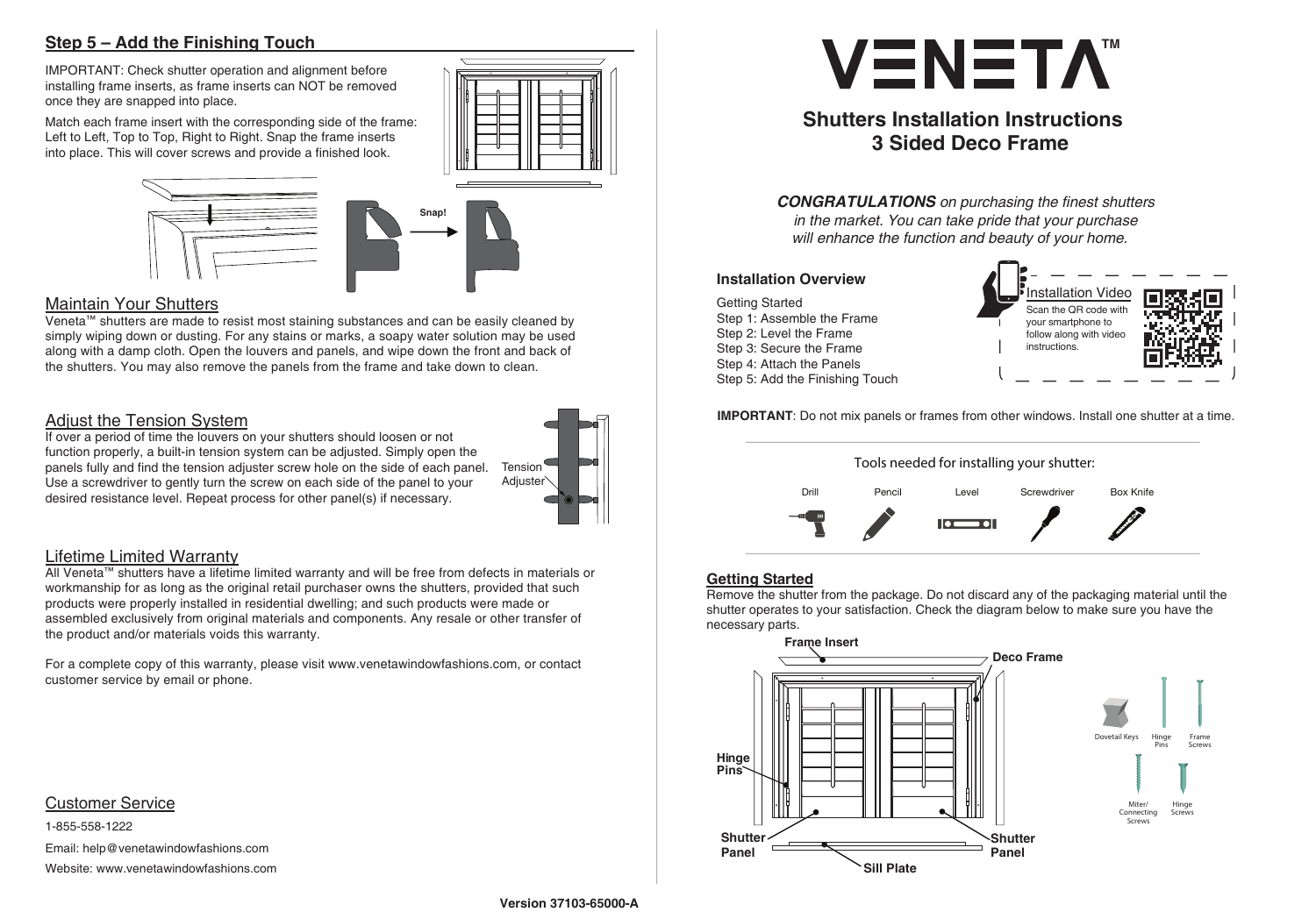# **Step 5 – Add the Finishing Touch**

#### Customer Service

1-855-558-1222 Email: help@venetawindowfashions.com Website: www.venetawindowfashions.com



# **Maintain Your Shutters**



IMPORTANT: Check shutter operation and alignment before installing frame inserts, as frame inserts can NOT be removed once they are snapped into place.

Match each frame insert with the corresponding side of the frame: Left to Left, Top to Top, Right to Right. Snap the frame inserts into place. This will cover screws and provide a finished look.





Veneta™ shutters are made to resist most staining substances and can be easily cleaned by simply wiping down or dusting. For any stains or marks, a soapy water solution may be used along with a damp cloth. Open the louvers and panels, and wipe down the front and back of the shutters. You may also remove the panels from the frame and take down to clean.

## Adjust the Tension System

If over a period of time the louvers on your shutters should loosen or not function properly, a built-in tension system can be adjusted. Simply open the panels fully and find the tension adjuster screw hole on the side of each panel. Use a screwdriver to gently turn the screw on each side of the panel to your desired resistance level. Repeat process for other panel(s) if necessary.

### Lifetime Limited Warranty

All Veneta™ shutters have a lifetime limited warranty and will be free from defects in materials or workmanship for as long as the original retail purchaser owns the shutters, provided that such products were properly installed in residential dwelling; and such products were made or assembled exclusively from original materials and components. Any resale or other transfer of the product and/or materials voids this warranty.

For a complete copy of this warranty, please visit www.venetawindowfashions.com, or contact customer service by email or phone.

**IMPORTANT**: Do not mix panels or frames from other windows. Install one shutter at a time.

Getting Started Step 1: Assemble the Frame Step 2: Level the Frame Step 3: Secure the Frame Step 4: Attach the Panels Step 5: Add the Finishing Touch

#### **Installation Overview**







#### **Getting Started**

Remove the shutter from the package. Do not discard any of the packaging material until the shutter operates to your satisfaction. Check the diagram below to make sure you have the necessary parts.



**Shutter**



**Deco Frame**